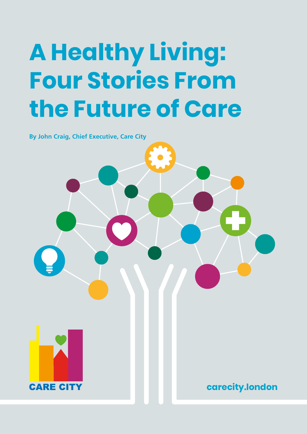# **A Healthy Living: Four Stories From the Future of Care**

**By John Craig, Chief Executive, Care City**



**carecity.london**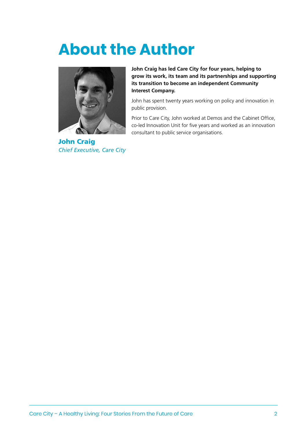## **About the Author**



John Craig *Chief Executive, Care City*

**John Craig has led Care City for four years, helping to grow its work, its team and its partnerships and supporting its transition to become an independent Community Interest Company.** 

John has spent twenty years working on policy and innovation in public provision.

Prior to Care City, John worked at Demos and the Cabinet Office, co-led Innovation Unit for five years and worked as an innovation consultant to public service organisations.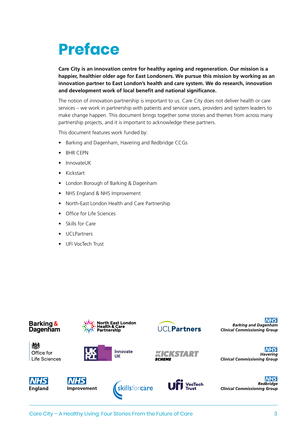## **Preface**

**Care City is an innovation centre for healthy ageing and regeneration. Our mission is a happier, healthier older age for East Londoners. We pursue this mission by working as an innovation partner to East London's health and care system. We do research, innovation and development work of local benefit and national significance.**

The notion of innovation partnership is important to us. Care City does not deliver health or care services – we work in partnership with patients and service users, providers and system leaders to make change happen. This document brings together some stories and themes from across many partnership projects, and it is important to acknowledge these partners.

This document features work funded by:

- Barking and Dagenham, Havering and Redbridge CCGs
- **BHR CEPN**
- InnovateUK
- Kickstart
- London Borough of Barking & Dagenham
- NHS England & NHS Improvement
- North-East London Health and Care Partnership
- Office for Life Sciences
- Skills for Care
- UCLPartners
- UFI VocTech Trust

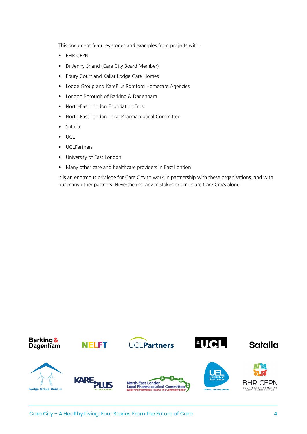This document features stories and examples from projects with:

- BHR CEPN
- Dr Jenny Shand (Care City Board Member)
- Ebury Court and Kallar Lodge Care Homes
- Lodge Group and KarePlus Romford Homecare Agencies
- London Borough of Barking & Dagenham
- North-East London Foundation Trust
- North-East London Local Pharmaceutical Committee
- Satalia
- UCL
- UCLPartners
- University of East London
- Many other care and healthcare providers in East London

It is an enormous privilege for Care City to work in partnership with these organisations, and with our many other partners. Nevertheless, any mistakes or errors are Care City's alone.

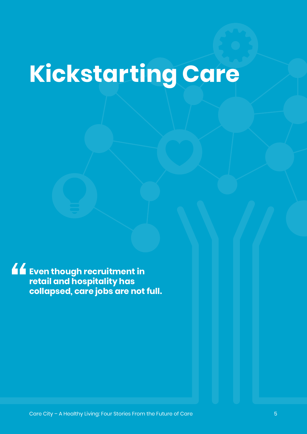# **Kickstarting Care**

**Even though recruitment in retail and hospitality has collapsed, care jobs are not full.**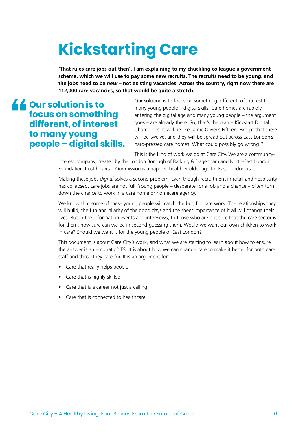## **Kickstarting Care**

**'That rules care jobs out then'. I am explaining to my chuckling colleague a government scheme, which we will use to pay some new recruits. The recruits need to be young, and the jobs need to be** *new* **– not existing vacancies. Across the country, right now there are 112,000 care vacancies, so that would be quite a stretch.** 

#### **Our solution is to focus on something different, of interest to many young people – digital skills.**

Our solution is to focus on something different, of interest to many young people – digital skills. Care homes are rapidly entering the digital age and many young people – the argument goes – are already there. So, that's the plan – Kickstart Digital Champions. It will be like Jamie Oliver's Fifteen. Except that there will be twelve, and they will be spread out across East London's hard-pressed care homes. What could possibly go wrong!?

This is the kind of work we do at Care City. We are a community-

interest company, created by the London Borough of Barking & Dagenham and North-East London Foundation Trust hospital. Our mission is a happier, healthier older age for East Londoners.

Making these jobs *digital* solves a second problem. Even though recruitment in retail and hospitality has collapsed, care jobs are not full. Young people – desperate for a job and a chance – often turn down the chance to work in a care home or homecare agency.

We know that some of these young people will catch the bug for care work. The relationships they will build, the fun and hilarity of the good days and the sheer importance of it all will change their lives. But in the information events and interviews, to those who are not sure that the care sector is for them, how sure can we be in second-guessing them. Would we want our own children to work in care? Should we want it for the young people of East London?

This document is about Care City's work, and what we are starting to learn about how to ensure the answer is an emphatic YES. It is about how we can change care to make it better for both care staff and those they care for. It is an argument for:

- Care that really helps people
- Care that is highly skilled
- Care that is a career not just a calling
- Care that is connected to healthcare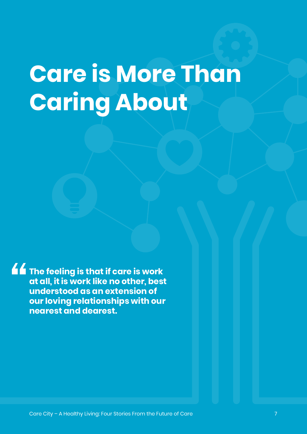## **Care is More Than Caring About**

**The feeling is that if care is work at all, it is work like no other, best understood as an extension of our loving relationships with our nearest and dearest.**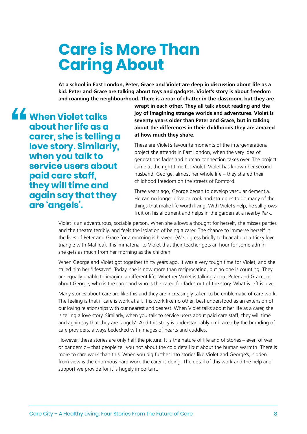## **Care is More Than Caring About**

**At a school in East London, Peter, Grace and Violet are deep in discussion about life as a kid. Peter and Grace are talking about toys and gadgets. Violet's story is about freedom and roaming the neighbourhood. There is a roar of chatter in the classroom, but they are** 

**When Violet talks about her life as a carer, she is telling a love story. Similarly, when you talk to service users about paid care staff, they will time and again say that they are 'angels'.**

**wrapt in each other. They all talk about reading and the joy of imagining strange worlds and adventures. Violet is seventy years older than Peter and Grace, but in talking about the differences in their childhoods they are amazed at how much they share.**

These are Violet's favourite moments of the intergenerational project she attends in East London, when the very idea of generations fades and human connection takes over. The project came at the right time for Violet. Violet has known her second husband, George, almost her whole life – they shared their childhood freedom on the streets of Romford.

Three years ago, George began to develop vascular dementia. He can no longer drive or cook and struggles to do many of the things that make life worth living. With Violet's help, he still grows fruit on his allotment and helps in the garden at a nearby Park.

Violet is an adventurous, sociable person. When she allows a thought for herself, she misses parties and the theatre terribly, and feels the isolation of being a carer. The chance to immerse herself in the lives of Peter and Grace for a morning is heaven. (We digress briefly to hear about a tricky love triangle with Matilda). It is immaterial to Violet that their teacher gets an hour for some admin – she gets as much from her morning as the children.

When George and Violet got together thirty years ago, it was a very tough time for Violet, and she called him her 'lifesaver'. Today, she is now more than reciprocating, but no one is counting. They are equally unable to imagine a different life. Whether Violet is talking about Peter and Grace, or about George, who is the carer and who is the cared for fades out of the story. What is left is love.

Many stories about care are like this and they are increasingly taken to be emblematic of care work. The feeling is that if care is work at all, it is work like no other, best understood as an extension of our loving relationships with our nearest and dearest. When Violet talks about her life as a carer, she is telling a love story. Similarly, when you talk to service users about paid care staff, they will time and again say that they are 'angels'. And this story is understandably embraced by the branding of care providers, always bedecked with images of hearts and cuddles.

However, these stories are only half the picture. It is the nature of life and of stories – even of war or pandemic – that people tell you not about the cold detail but about the human warmth. There is more to care work than this. When you dig further into stories like Violet and George's, hidden from view is the enormous hard work the carer is doing. The detail of this work and the help and support we provide for it is hugely important.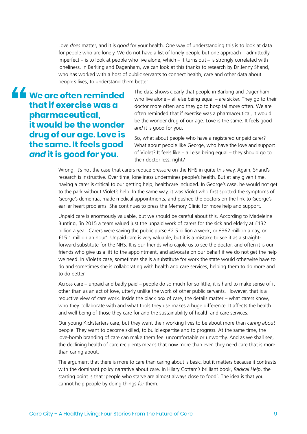Love *does* matter, and it is *good* for your health. One way of understanding this is to look at data for people who are lonely. We do not have a list of lonely people but one approach – admittedly imperfect – is to look at people who live alone, which – it turns out – is strongly correlated with loneliness. In Barking and Dagenham, we can look at this thanks to research by Dr Jenny Shand, who has worked with a host of public servants to connect health, care and other data about people's lives, to understand them better.

**We are often reminded that if exercise was a pharmaceutical, it would be the wonder drug of our age. Love is the same. It feels good**  *and* **it is good for you.**

The data shows clearly that people in Barking and Dagenham who live alone – all else being equal – are sicker. They go to their doctor more often and they go to hospital more often. We are often reminded that if exercise was a pharmaceutical, it would be the wonder drug of our age. Love is the same. It feels good *and* it is good for you.

So, what about people who have a registered unpaid carer? What about people like George, who have the love and support of Violet? It feels like – all else being equal – they should go to their doctor less, right?

Wrong. It's not the case that carers reduce pressure on the NHS in quite this way. Again, Shand's research is instructive. Over time, loneliness undermines people's health. But at any given time, having a carer is critical to our getting help, healthcare included. In George's case, he would not get to the park without Violet's help. In the same way, it was Violet who first spotted the symptoms of George's dementia, made medical appointments, and pushed the doctors on the link to George's earlier heart problems. She continues to press the Memory Clinic for more help and support.

Unpaid care is enormously valuable, but we should be careful about this. According to Madeleine Bunting, 'in 2015 a team valued just the unpaid work of carers for the sick and elderly at £132 billion a year. Carers were saving the public purse £2.5 billion a week, or £362 million a day, or £15.1 million an hour'. Unpaid care is very valuable, but it is a mistake to see it as a straightforward substitute for the NHS. It is our friends who cajole us to see the doctor, and often it is our friends who give us a lift to the appointment, and advocate on our behalf if we do not get the help we need. In Violet's case, sometimes she is a substitute for work the state would otherwise have to do and sometimes she is collaborating with health and care services, helping them to do more and to do better.

Across care – unpaid and badly paid – people do so much for so little, it is hard to make sense of it other than as an act of love, utterly unlike the work of other public servants. However, that is a reductive view of care work. Inside the black box of care, the details matter – what carers know, who they collaborate with and what tools they use makes a huge difference. It affects the health and well-being of those they care for and the sustainability of health and care services.

Our young Kickstarters care, but they want their working lives to be about more than *caring about* people. They want to become skilled, to build expertise and to progress. At the same time, the love-bomb branding of care can make them feel uncomfortable or unworthy. And as we shall see, the declining health of care recipients means that now more than ever, they need care that is more than caring about.

The argument that there is more to care than caring about is basic, but it matters because it contrasts with the dominant policy narrative about care. In Hilary Cottam's brilliant book, *Radical Help*, the starting point is that 'people who starve are almost always close to food'. The idea is that you cannot help people by doing things *for* them.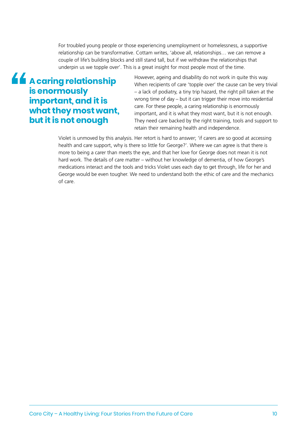For troubled young people or those experiencing unemployment or homelessness, a supportive relationship can be transformative. Cottam writes, 'above all, relationships… we can remove a couple of life's building blocks and still stand tall, but if we withdraw the relationships that underpin us we topple over'. This is a great insight for most people most of the time.

#### **A caring relationship is enormously important, and it is what they most want, but it is not enough**

However, ageing and disability do not work in quite this way. When recipients of care 'topple over' the cause can be very trivial – a lack of podiatry, a tiny trip hazard, the right pill taken at the wrong time of day – but it can trigger their move into residential care. For these people, a caring relationship is enormously important, and it is what they most want, but it is not enough. They need care backed by the right training, tools and support to retain their remaining health and independence.

Violet is unmoved by this analysis. Her retort is hard to answer; 'if carers are so good at accessing health and care support, why is there so little for George?'. Where we can agree is that there is more to being a carer than meets the eye, and that her love for George does not mean it is not hard work. The details of care matter – without her knowledge of dementia, of how George's medications interact and the tools and tricks Violet uses each day to get through, life for her and George would be even tougher. We need to understand both the ethic of care and the mechanics of care.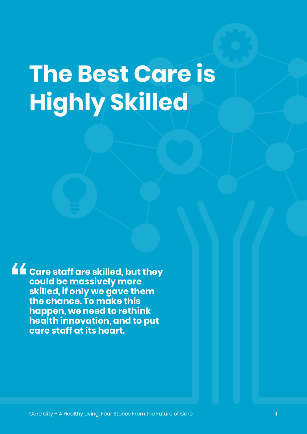# **The Best Care is Highly Skilled**

**Care staff are skilled, but they could be massively more skilled, if only we gave them the chance. To make this happen, we need to rethink health innovation, and to put care staff at its heart.**

Care City – A Healthy Living: Four Stories From the Future of Care 11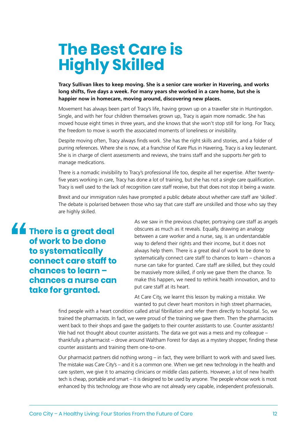## **The Best Care is Highly Skilled**

**Tracy Sullivan likes to keep moving. She is a senior care worker in Havering, and works long shifts, five days a week. For many years she worked in a care home, but she is happier now in homecare, moving around, discovering new places.**

Movement has always been part of Tracy's life, having grown up on a traveller site in Huntingdon. Single, and with her four children themselves grown up, Tracy is again more nomadic. She has moved house eight times in three years, and she knows that she won't stop still for long. For Tracy, the freedom to move is worth the associated moments of loneliness or invisibility.

Despite moving often, Tracy always finds work. She has the right skills and stories, and a folder of purring references. Where she is now, at a franchise of Kare Plus in Havering, Tracy is a key lieutenant. She is in charge of client assessments and reviews, she trains staff and she supports *her girls* to manage medications.

There is a nomadic invisibility to Tracy's professional life too, despite all her expertise. After twentyfive years working in care, Tracy has done a lot of training, but she has not a single care qualification. Tracy is well used to the lack of recognition care staff receive, but that does not stop it being a waste.

Brexit and our immigration rules have prompted a public debate about whether care staff are 'skilled'. The debate is polarised between those who say that care staff are unskilled and those who say they are highly skilled.

**There is a great deal of work to be done to systematically connect care staff to chances to learn – chances a nurse can take for granted.**

As we saw in the previous chapter, portraying care staff as angels obscures as much as it reveals. Equally, drawing an analogy between a care worker and a nurse, say, is an understandable way to defend their rights and their income, but it does not always help them. There is a great deal of work to be done to systematically connect care staff to chances to learn – chances a nurse can take for granted. Care staff are skilled, but they could be massively more skilled, if only we gave them the chance. To make this happen, we need to rethink health innovation, and to put care staff at its heart.

At Care City, we learnt this lesson by making a mistake. We wanted to put clever heart monitors in high street pharmacies,

find people with a heart condition called atrial fibrillation and refer them directly to hospital. So, we trained the pharmacists. In fact, we were proud of the training we gave them. Then the pharmacists went back to their shops and gave the gadgets to their counter assistants to use. Counter assistants! We had not thought about counter assistants. The data we got was a mess and my colleague thankfully a pharmacist – drove around Waltham Forest for days as a mystery shopper, finding these counter assistants and training them one-to-one.

Our pharmacist partners did nothing wrong – in fact, they were brilliant to work with and saved lives. The mistake was Care City's – and it is a common one. When we get new technology in the health and care system, we give it to amazing clinicians or middle class patients. However, a lot of new health tech is cheap, portable and smart – it is designed to be used by anyone. The people whose work is most enhanced by this technology are those who are not already very capable, independent professionals.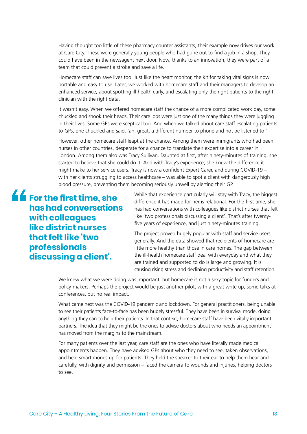Having thought too little of these pharmacy counter assistants, their example now drives our work at Care City. These were generally young people who had gone out to find a job in a shop. They could have been in the newsagent next door. Now, thanks to an innovation, they were part of a team that could prevent a stroke and save a life.

Homecare staff can save lives too. Just like the heart monitor, the kit for taking vital signs is now portable and easy to use. Later, we worked with homecare staff and their managers to develop an enhanced service, about spotting ill-health early, and escalating only the right patients to the right clinician with the right data.

It wasn't easy. When we offered homecare staff the chance of a more complicated work day, some chuckled and shook their heads. Their care jobs were just one of the many things they were juggling in their lives. Some GPs were sceptical too. And when we talked about care staff escalating patients to GPs, one chuckled and said, 'ah, great, a different number to phone and not be listened to!'

However, other homecare staff leapt at the chance. Among them were immigrants who had been nurses in other countries, desperate for a chance to translate their expertise into a career in London. Among them also was Tracy Sullivan. Daunted at first, after ninety-minutes of training, she started to believe that she could do it. And with Tracy's experience, she knew the difference it might make to her service users. Tracy is now a confident Expert Carer, and during COVID-19 – with her clients struggling to access healthcare – was able to spot a client with dangerously high blood pressure, preventing them becoming seriously unwell by alerting their GP.

**for the first time, she has had conversations with colleagues like district nurses that felt like 'two professionals discussing a client'.** 

While that experience particularly will stay with Tracy, the biggest difference it has made for her is relational. For the first time, she has had conversations with colleagues like district nurses that felt like 'two professionals discussing a client'. That's after twentyfive years of experience, and just ninety-minutes training.

The project proved hugely popular with staff and service users generally. And the data showed that recipients of homecare are little more healthy than those in care homes. The gap between the ill-health homecare staff deal with everyday and what they are trained and supported to do is large and growing. It is causing rising stress and declining productivity and staff retention.

We knew what we were doing was important, but homecare is not a sexy topic for funders and policy-makers. Perhaps the project would be just another pilot, with a great write up, some talks at conferences, but no real impact.

What came next was the COVID-19 pandemic and lockdown. For general practitioners, being unable to see their patients face-to-face has been hugely stressful. They have been in survival mode, doing anything they can to help their patients. In that context, homecare staff have been vitally important partners. The idea that they might be the ones to advise doctors about who needs an appointment has moved from the margins to the mainstream.

For many patients over the last year, care staff are the ones who have literally made medical appointments happen. They have advised GPs about who they need to see, taken observations, and held smartphones up for patients. They held the speaker to their ear to help them hear and – carefully, with dignity and permission – faced the camera to wounds and injuries, helping doctors to see.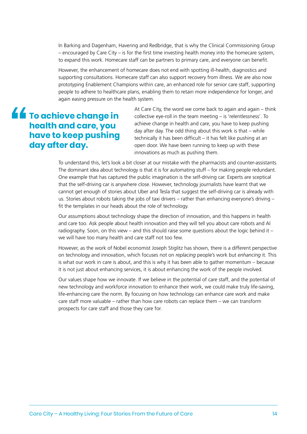In Barking and Dagenham, Havering and Redbridge, that is why the Clinical Commissioning Group – encouraged by Care City – is for the first time investing health money into the homecare system, to expand this work. Homecare staff can be partners to primary care, and everyone can benefit.

However, the enhancement of homecare does not end with spotting ill-health, diagnostics and supporting consultations. Homecare staff can also support recovery from illness. We are also now prototyping Enablement Champions within care, an enhanced role for senior care staff, supporting people to adhere to healthcare plans, enabling them to retain more independence for longer, and again easing pressure on the health system.

### $\overline{\mathbf{f}}$  To achieve change in **health and care, you have to keep pushing day after day.**

At Care City, the word we come back to again and again – think collective eye-roll in the team meeting – is 'relentlessness'. To achieve change in health and care, you have to keep pushing day after day. The odd thing about this work is that – while technically it has been difficult – it has felt like pushing at an open door. We have been running to keep up with these innovations as much as pushing them.

To understand this, let's look a bit closer at our mistake with the pharmacists and counter-assistants. The dominant idea about technology is that it is for automating stuff – for making people redundant. One example that has captured the public imagination is the self-driving car. Experts are sceptical that the self-driving car is anywhere close. However, technology journalists have learnt that we cannot get enough of stories about Uber and Tesla that suggest the self-driving car is already with us. Stories about robots taking the jobs of taxi drivers – rather than enhancing everyone's driving – fit the templates in our heads about the role of technology.

Our assumptions about technology shape the direction of innovation, and this happens in health and care too. Ask people about health innovation and they will tell you about care robots and AI radiography. Soon, on this view – and this should raise some questions about the logic behind it – we will have too many health and care staff not too few.

However, as the work of Nobel economist Joseph Stiglitz has shown, there is a different perspective on technology and innovation, which focuses not on *replacing* people's work but *enhancing* it. This is what our work in care is about, and this is why it has been able to gather momentum – because it is not just about enhancing services, it is about enhancing the work of the people involved.

Our values shape how we innovate. If we believe in the potential of care staff, and the potential of new technology and workforce innovation to enhance their work, we could make truly life-saving, life-enhancing care the norm. By focusing on how technology can enhance care work and make care staff more valuable – rather than how care robots can replace them – we can transform prospects for care staff and those they care for.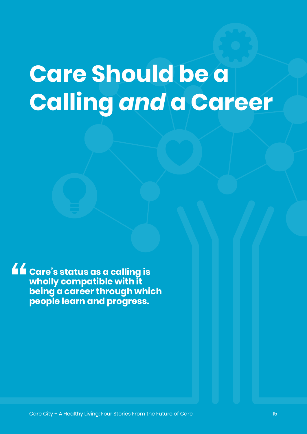# **Care Should be a Calling** *and* **a Career**

**Care's status as a calling is wholly compatible with it being a career through which people learn and progress.**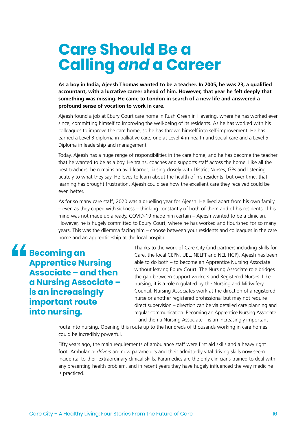### **Care Should Be a Calling** *and* **a Career**

**As a boy in India, Ajeesh Thomas wanted to be a teacher. In 2005, he was 23, a qualified accountant, with a lucrative career ahead of him. However, that year he felt deeply that something was missing. He came to London in search of a new life and answered a profound sense of vocation to work in care.**

Ajeesh found a job at Ebury Court care home in Rush Green in Havering, where he has worked ever since, committing himself to improving the well-being of its residents. As he has worked with his colleagues to improve the care home, so he has thrown himself into self-improvement. He has earned a Level 3 diploma in palliative care, one at Level 4 in health and social care and a Level 5 Diploma in leadership and management.

Today, Ajeesh has a huge range of responsibilities in the care home, and he has become the teacher that he wanted to be as a boy. He trains, coaches and supports staff across the home. Like all the best teachers, he remains an avid learner, liaising closely with District Nurses, GPs and listening acutely to what they say. He loves to learn about the health of his residents, but over time, that learning has brought frustration. Ajeesh could see how the excellent care they received could be even better.

As for so many care staff, 2020 was a gruelling year for Ajeesh. He lived apart from his own family – even as they coped with sickness – thinking constantly of both of them and of his residents. If his mind was not made up already, COVID-19 made him certain – Ajeesh wanted to be a clinician. However, he is hugely committed to Ebury Court, where he has worked and flourished for so many years. This was the dilemma facing him – choose between your residents and colleagues in the care home and an apprenticeship at the local hospital.

 $\triangle$  **Becoming an Apprentice Nursing Associate – and then a Nursing Associate – is an increasingly important route into nursing.**

Thanks to the work of Care City (and partners including Skills for Care, the local CEPN, UEL, NELFT and NEL HCP), Ajeesh has been able to do both – to become an Apprentice Nursing Associate without leaving Ebury Court. The Nursing Associate role bridges the gap between support workers and Registered Nurses. Like nursing, it is a role regulated by the Nursing and Midwifery Council. Nursing Associates work at the direction of a registered nurse or another registered professional but may not require direct supervision – direction can be via detailed care planning and regular communication. Becoming an Apprentice Nursing Associate – and then a Nursing Associate – is an increasingly important

route into nursing. Opening this route up to the hundreds of thousands working in care homes could be incredibly powerful.

Fifty years ago, the main requirements of ambulance staff were first aid skills and a heavy right foot. Ambulance *drivers* are now paramedics and their admittedly vital driving skills now seem incidental to their extraordinary clinical skills. Paramedics are the only clinicians trained to deal with any presenting health problem, and in recent years they have hugely influenced the way medicine is practiced.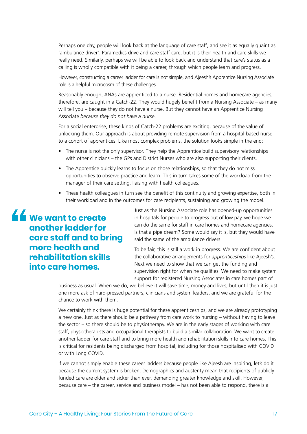Perhaps one day, people will look back at the language of care staff, and see it as equally quaint as 'ambulance driver'. Paramedics drive and care staff care, but it is their health and care skills we really need. Similarly, perhaps we will be able to look back and understand that care's status as a calling is wholly compatible with it being a career, through which people learn and progress.

However, constructing a career ladder for care is not simple, and Ajeesh's Apprentice Nursing Associate role is a helpful microcosm of these challenges.

Reasonably enough, ANAs are apprenticed to a nurse. Residential homes and homecare agencies, therefore, are caught in a Catch-22. They would hugely benefit from a Nursing Associate – as many will tell you – because they do not have a nurse. But they cannot have an Apprentice Nursing Associate *because they do not have a nurse*.

For a social enterprise, these kinds of Catch-22 problems are exciting, because of the value of unlocking them. Our approach is about providing remote supervision from a hospital-based nurse to a cohort of apprentices. Like most complex problems, the solution looks simple in the end:

- The nurse is not the only supervisor. They help the Apprentice build supervisory relationships with other clinicians – the GPs and District Nurses who are also supporting their clients.
- The Apprentice quickly learns to focus on those relationships, so that they do not miss opportunities to observe practice and learn. This in turn takes some of the workload from the manager of their care setting, liaising with health colleagues.
- These health colleagues in turn see the benefit of this continuity and growing expertise, both in their workload and in the outcomes for care recipients, sustaining and growing the model.

**We want to create another ladder for care staff and to bring more health and rehabilitation skills into care homes.** 

Just as the Nursing Associate role has opened-up opportunities in hospitals for people to progress out of low pay, we hope we can do the same for staff in care homes and homecare agencies. Is that a pipe dream? Some would say it is, but they would have said the same of the ambulance drivers.

To be fair, this is still a work in progress. We are confident about the collaborative arrangements for *apprenticeships* like Ajeesh's. Next we need to show that we can get the funding and supervision right for when he qualifies. We need to make system support for registered Nursing Associates in care homes part of

business as usual. When we do, we believe it will save time, money and lives, but until then it is just one more ask of hard-pressed partners, clinicians and system leaders, and we are grateful for the chance to work with them.

We certainly think there is huge potential for these apprenticeships, and we are already prototyping a new one. Just as there should be a pathway from care work to nursing – without having to leave the sector – so there should be to physiotherapy. We are in the early stages of working with care staff, physiotherapists and occupational therapists to build a similar collaboration. We want to create another ladder for care staff and to bring more health and rehabilitation skills into care homes. This is critical for residents being discharged from hospital, including for those hospitalised with COVID or with Long COVID.

If we cannot simply enable these career ladders because people like Ajeesh are inspiring, let's do it because the current system is broken. Demographics and austerity mean that recipients of publicly funded care are older and sicker than ever, demanding greater knowledge and skill. However, because care – the career, service and business model – has not been able to respond, there is a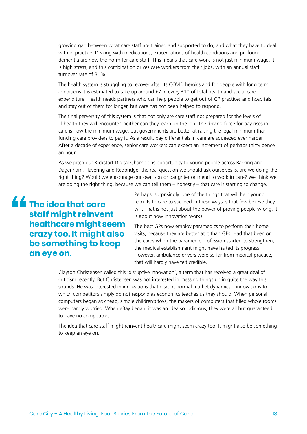growing gap between what care staff are trained and supported to do, and what they have to deal with in practice. Dealing with medications, exacerbations of health conditions and profound dementia are now the norm for care staff. This means that care work is not just minimum wage, it is high stress, and this combination drives care workers from their jobs, with an annual staff turnover rate of 31%.

The health system is struggling to recover after its COVID heroics and for people with long term conditions it is estimated to take up around £7 in every £10 of total health and social care expenditure. Health needs partners who can help people to get out of GP practices and hospitals and stay out of them for longer, but care has not been helped to respond.

The final perversity of this system is that not only are care staff not prepared for the levels of ill-health they will encounter, neither can they learn on the job. The driving force for pay rises in care is now the minimum wage, but governments are better at raising the legal minimum than funding care providers to pay it. As a result, pay differentials in care are squeezed ever harder. After a decade of experience, senior care workers can expect an increment of perhaps thirty pence an hour.

As we pitch our Kickstart Digital Champions opportunity to young people across Barking and Dagenham, Havering and Redbridge, the real question we should ask ourselves is, are we doing the right thing? Would we encourage our own son or daughter or friend to work in care? We think we are doing the right thing, because we can tell them – honestly – that care is starting to change.

**The idea that care staff might reinvent healthcare might seem crazy too. It might also be something to keep an eye on.**

Perhaps, surprisingly, one of the things that will help young recruits to care to succeed in these ways is that few believe they will. That is not just about the power of proving people wrong, it is about how innovation works.

The best GPs now employ paramedics to perform their home visits, because they are better at it than GPs. Had that been on the cards when the paramedic profession started to strengthen, the medical establishment might have halted its progress. However, ambulance drivers were so far from medical practice, that will hardly have felt credible.

Clayton Christensen called this 'disruptive innovation', a term that has received a great deal of criticism recently. But Christensen was not interested in messing things up in quite the way this sounds. He was interested in innovations that disrupt normal market dynamics – innovations to which competitors simply do not respond as economics teaches us they should. When personal computers began as cheap, simple children's toys, the makers of computers that filled whole rooms were hardly worried. When eBay began, it was an idea so ludicrous, they were all but guaranteed to have no competitors.

The idea that care staff might reinvent healthcare might seem crazy too. It might also be something to keep an eye on.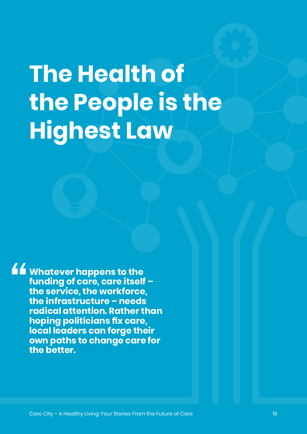# **The Health of the People is the Highest Law**

**Whatever happens to the funding of care, care itself – the service, the workforce, the infrastructure – needs radical attention. Rather than hoping politicians fix care, local leaders can forge their own paths to change care for the better.**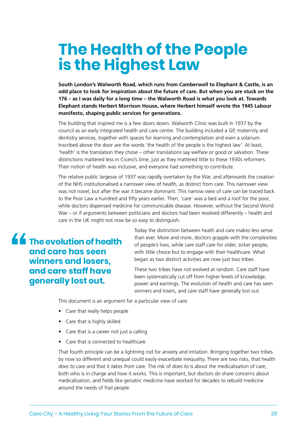### **The Health of the People is the Highest Law**

**South London's Walworth Road, which runs from Camberwell to Elephant & Castle, is an odd place to look for inspiration about the future of care. But when you are stuck on the 176 – as I was daily for a long time – the Walworth Road is what you look at. Towards Elephant stands Herbert Morrison House, where Herbert himself wrote the 1945 Labour manifesto, shaping public services for generations.**

The building that inspired me is a few doors down. Walworth Clinic was built in 1937 by the council as an early integrated health and care centre. The building included a GP, maternity and dentistry services, together with spaces for learning and contemplation and even a solarium. Inscribed above the door are the words 'the health of the people is the highest law'. At least, 'health' is the translation they chose – other translations say welfare or good or salvation. These distinctions mattered less in Cicero's time, just as they mattered little to these 1930s reformers. Their notion of health was inclusive, and everyone had something to contribute.

The relative public largesse of 1937 was rapidly overtaken by the War, and afterwards the creation of the NHS institutionalised a narrower view of health, as distinct from care. This narrower view was not novel, but after the war it became dominant. This narrow view of care can be traced back to the Poor Law a hundred and fifty years earlier. Then, 'care' was a bed and a roof for the poor, while doctors dispensed medicine for communicable disease. However, without the Second World War – or if arguments between politicians and doctors had been resolved differently – health and care in the UK might not now be so easy to distinguish.

**The evolution of health and care has seen winners and losers, and care staff have generally lost out.**

Today the distinction between heath and care makes less sense than ever. More and more, doctors grapple with the complexities of people's lives, while care staff care for older, sicker people, with little choice but to engage with their healthcare. What began as two distinct activities are now just two tribes.

These two tribes have not evolved at random. Care staff have been systematically cut off from higher levels of knowledge, power and earnings. The evolution of health and care has seen winners and losers, and care staff have generally lost out.

This document is an argument for a particular view of care:

- Care that really helps people
- Care that is highly skilled
- Care that is a career not just a calling
- Care that is connected to healthcare

That fourth principle can be a lightning rod for anxiety and irritation. Bringing together two tribes by now so different and unequal could easily exacerbate inequality. There are two risks, that health *does to* care and that it *takes from* care. The risk of *does to* is about the medicalisation of care, both who is in charge and how it works. This is important, but doctors do share concerns about medicalisation, and fields like geriatric medicine have worked for decades to rebuild medicine around the needs of frail people.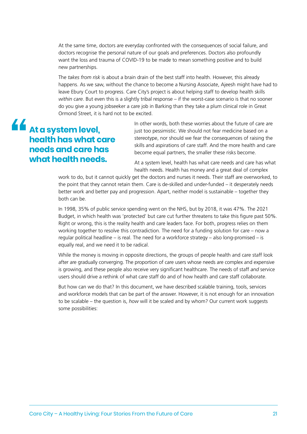At the same time, doctors are everyday confronted with the consequences of social failure, and doctors recognise the personal nature of our goals and preferences. Doctors also profoundly want the loss and trauma of COVID-19 to be made to mean something positive and to build new partnerships.

The *takes from risk* is about a brain drain of the best staff into health. However, this already happens. As we saw, without the chance to become a Nursing Associate, Ajeesh might have had to leave Ebury Court to progress. Care City's project is about helping staff to develop health skills *within care*. But even this is a slightly tribal response – if the worst-case scenario is that no sooner do you give a young jobseeker a care job in Barking than they take a plum clinical role in Great Ormond Street, it is hard not to be excited.

### **At a system level, health has what care needs and care has what health needs.**

In other words, both these worries about the future of care are just too pessimistic. We should not fear medicine based on a stereotype, nor should we fear the consequences of raising the skills and aspirations of care staff. And the more health and care become equal partners, the smaller these risks become.

At a system level, health has what care needs and care has what health needs. Health has money and a great deal of complex

work to do, but it cannot quickly get the doctors and nurses it needs. Their staff are overworked, to the point that they cannot retain them. Care is de-skilled and under-funded – it desperately needs better work and better pay and progression. Apart, neither model is sustainable – together they both can be.

In 1998, 35% of public service spending went on the NHS, but by 2018, it was 47%. The 2021 Budget, in which health was 'protected' but care cut further threatens to take this figure past 50%. Right or wrong, this is the reality health and care leaders face. For both, progress relies on them working together to resolve this contradiction. The need for a funding solution for care – now a regular political headline – is real. The need for a workforce strategy – also long-promised – is equally real, and we need it to be radical.

While the money is moving in opposite directions, the groups of people health and care staff look after are gradually converging. The proportion of care users whose needs are complex and expensive is growing, and these people also receive very significant healthcare. The needs of staff *and* service users should drive a rethink of what care staff do and of how health and care staff collaborate.

But how can we do that? In this document, we have described scalable training, tools, services and workforce models that can be part of the answer. However, it is not enough for an innovation to be scalable – the question is, *how* will it be scaled and by whom? Our current work suggests some possibilities: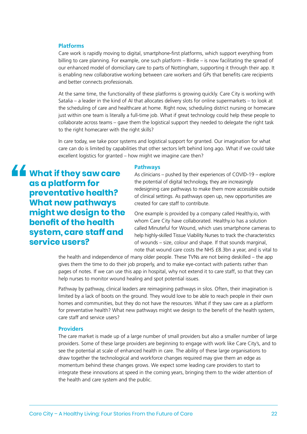#### **Platforms**

Care work is rapidly moving to digital, smartphone-first platforms, which support everything from billing to care planning. For example, one such platform – Birdie – is now facilitating the spread of our enhanced model of domiciliary care to parts of Nottingham, supporting it through their app. It is enabling new collaborative working between care workers and GPs that benefits care recipients and better connects professionals.

At the same time, the functionality of these platforms is growing quickly. Care City is working with Satalia – a leader in the kind of AI that allocates delivery slots for online supermarkets – to look at the scheduling of care and healthcare at home. Right now, scheduling district nursing or homecare just within one team is literally a full-time job. What if great technology could help these people to collaborate across teams – gave them the logistical support they needed to delegate the right task to the right homecarer with the right skills?

In care today, we take poor systems and logistical support for granted. Our imagination for what care can do is limited by capabilities that other sectors left behind long ago. What if we could take excellent logistics for granted – how might we imagine care then?

**What if they saw care as a platform for preventative health? What new pathways might we design to the benefit of the health system, care staff and service users?** 

#### **Pathways**

As clinicians – pushed by their experiences of COVID-19 – explore the potential of digital technology, they are increasingly redesigning care pathways to make them more accessible outside of clinical settings. As pathways open up, new opportunities are created for care staff to contribute.

One example is provided by a company called Healthy.io, with whom Care City have collaborated. Healthy.io has a solution called Minuteful for Wound, which uses smartphone cameras to help highly-skilled Tissue Viability Nurses to track the characteristics of wounds – size, colour and shape. If that sounds marginal, note that wound care costs the NHS £8.3bn a year, and is vital to

the health and independence of many older people. These TVNs are not being deskilled – the app gives them the time to do their job properly, and to make eye-contact with patients rather than pages of notes. If we can use this app in hospital, why not extend it to care staff, so that they can help nurses to monitor wound healing and spot potential issues.

Pathway by pathway, clinical leaders are reimagining pathways in silos. Often, their imagination is limited by a lack of boots on the ground. They would love to be able to reach people in their own homes and communities, but they do not have the resources. What if they saw care as a platform for preventative health? What new pathways might we design to the benefit of the health system, care staff and service users?

#### **Providers**

The care market is made up of a large number of small providers but also a smaller number of large providers. Some of these large providers are beginning to engage with work like Care City's, and to see the potential at scale of enhanced health in care. The ability of these large organisations to draw together the technological and workforce changes required may give them an edge as momentum behind these changes grows. We expect some leading care providers to start to integrate these innovations at speed in the coming years, bringing them to the wider attention of the health and care system and the public.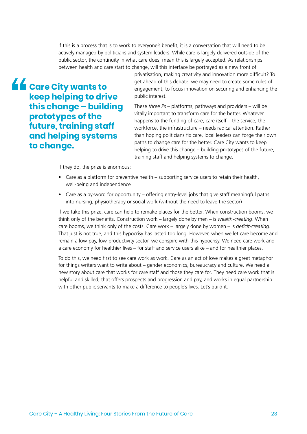If this is a process that is to work to everyone's benefit, it is a conversation that will need to be actively managed by politicians and system leaders. While care is largely delivered outside of the public sector, the continuity in what care does, mean this is largely accepted. As relationships between health and care start to change, will this interface be portrayed as a new front of

**Let a** Care City wants to **keep helping to drive this change – building prototypes of the future, training staff and helping systems to change.** 

privatisation, making creativity and innovation more difficult? To get ahead of this debate, we may need to create some rules of engagement, to focus innovation on securing and enhancing the public interest.

These *three Ps* – platforms, pathways and providers – will be vitally important to transform care for the better. Whatever happens to the funding of care, care itself – the service, the workforce, the infrastructure – needs radical attention. Rather than hoping politicians fix care, local leaders can forge their own paths to change care for the better. Care City wants to keep helping to drive this change – building prototypes of the future, training staff and helping systems to change.

If they do, the prize is enormous:

- Care as a platform for preventive health supporting service users to retain their health, well-being and independence
- Care as a by-word for opportunity offering entry-level jobs that give staff meaningful paths into nursing, physiotherapy or social work (without the need to leave the sector)

If we take this prize, care can help to remake places for the better. When construction booms, we think only of the benefits. Construction work – largely done by men – is *wealth-creating*. When care booms, we think only of the costs. Care work – largely done by women – is *deficit-creating*. That just is not true, and this hypocrisy has lasted too long. However, when we let care become and remain a low-pay, low-productivity sector, we conspire with this hypocrisy. We need care work and a care economy for healthier lives – for staff and service users alike – and for healthier places.

To do this, we need first to see care work as work. Care as an act of love makes a great metaphor for things writers want to write about – gender economics, bureaucracy and culture. We need a new story about care that works for care staff and those they care for. They need care work that is helpful and skilled, that offers prospects and progression and pay, and works in equal partnership with other public servants to make a difference to people's lives. Let's build it.